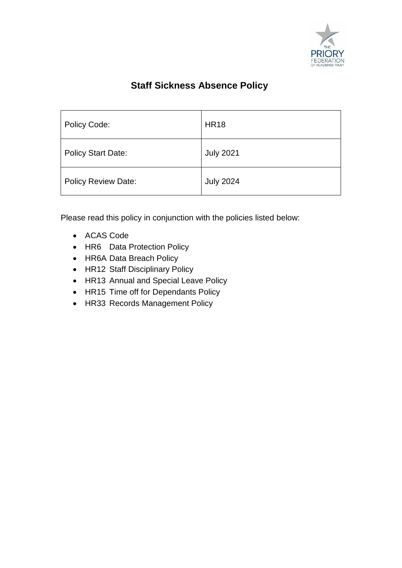

# **Staff Sickness Absence Policy**

| Policy Code:              | <b>HR18</b>      |
|---------------------------|------------------|
| <b>Policy Start Date:</b> | <b>July 2021</b> |
| Policy Review Date:       | <b>July 2024</b> |

Please read this policy in conjunction with the policies listed below:

- ACAS Code
- HR6 Data Protection Policy
- HR6A Data Breach Policy
- HR12 Staff Disciplinary Policy
- HR13 Annual and Special Leave Policy
- HR15 Time off for Dependants Policy
- HR33 Records Management Policy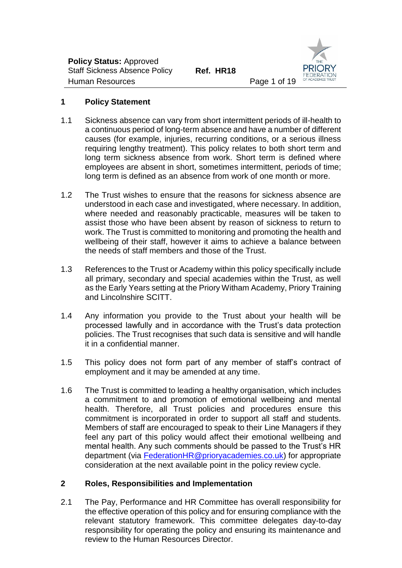

# **1 Policy Statement**

- 1.1 Sickness absence can vary from short intermittent periods of ill-health to a continuous period of long-term absence and have a number of different causes (for example, injuries, recurring conditions, or a serious illness requiring lengthy treatment). This policy relates to both short term and long term sickness absence from work. Short term is defined where employees are absent in short, sometimes intermittent, periods of time; long term is defined as an absence from work of one month or more.
- 1.2 The Trust wishes to ensure that the reasons for sickness absence are understood in each case and investigated, where necessary. In addition, where needed and reasonably practicable, measures will be taken to assist those who have been absent by reason of sickness to return to work. The Trust is committed to monitoring and promoting the health and wellbeing of their staff, however it aims to achieve a balance between the needs of staff members and those of the Trust.
- 1.3 References to the Trust or Academy within this policy specifically include all primary, secondary and special academies within the Trust, as well as the Early Years setting at the Priory Witham Academy, Priory Training and Lincolnshire SCITT.
- 1.4 Any information you provide to the Trust about your health will be processed lawfully and in accordance with the Trust's data protection policies. The Trust recognises that such data is sensitive and will handle it in a confidential manner.
- 1.5 This policy does not form part of any member of staff's contract of employment and it may be amended at any time.
- 1.6 The Trust is committed to leading a healthy organisation, which includes a commitment to and promotion of emotional wellbeing and mental health. Therefore, all Trust policies and procedures ensure this commitment is incorporated in order to support all staff and students. Members of staff are encouraged to speak to their Line Managers if they feel any part of this policy would affect their emotional wellbeing and mental health. Any such comments should be passed to the Trust's HR department (via [FederationHR@prioryacademies.co.uk\)](mailto:FederationHR@prioryacademies.co.uk) for appropriate consideration at the next available point in the policy review cycle.

# **2 Roles, Responsibilities and Implementation**

2.1 The Pay, Performance and HR Committee has overall responsibility for the effective operation of this policy and for ensuring compliance with the relevant statutory framework. This committee delegates day-to-day responsibility for operating the policy and ensuring its maintenance and review to the Human Resources Director.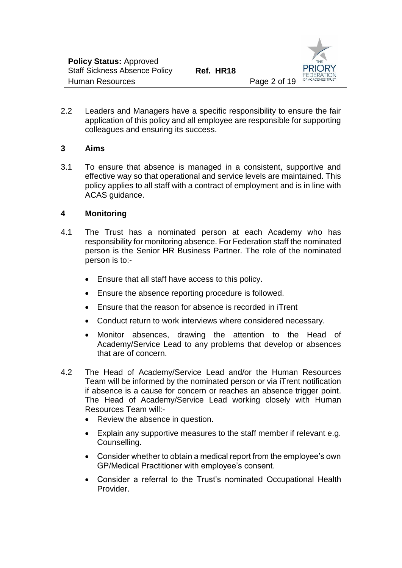

2.2 Leaders and Managers have a specific responsibility to ensure the fair application of this policy and all employee are responsible for supporting colleagues and ensuring its success.

#### **3 Aims**

3.1 To ensure that absence is managed in a consistent, supportive and effective way so that operational and service levels are maintained. This policy applies to all staff with a contract of employment and is in line with ACAS guidance.

# **4 Monitoring**

- 4.1 The Trust has a nominated person at each Academy who has responsibility for monitoring absence. For Federation staff the nominated person is the Senior HR Business Partner. The role of the nominated person is to:-
	- Ensure that all staff have access to this policy.
	- Ensure the absence reporting procedure is followed.
	- Ensure that the reason for absence is recorded in iTrent
	- Conduct return to work interviews where considered necessary.
	- Monitor absences, drawing the attention to the Head of Academy/Service Lead to any problems that develop or absences that are of concern.
- 4.2 The Head of Academy/Service Lead and/or the Human Resources Team will be informed by the nominated person or via iTrent notification if absence is a cause for concern or reaches an absence trigger point. The Head of Academy/Service Lead working closely with Human Resources Team will:-
	- Review the absence in question.
	- Explain any supportive measures to the staff member if relevant e.g. Counselling.
	- Consider whether to obtain a medical report from the employee's own GP/Medical Practitioner with employee's consent.
	- Consider a referral to the Trust's nominated Occupational Health Provider.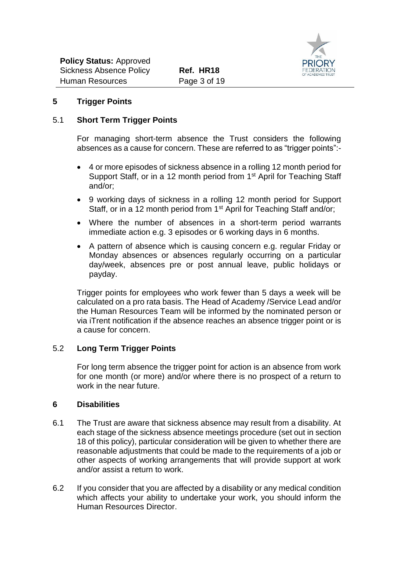

# **5 Trigger Points**

#### 5.1 **Short Term Trigger Points**

For managing short-term absence the Trust considers the following absences as a cause for concern. These are referred to as "trigger points":-

- 4 or more episodes of sickness absence in a rolling 12 month period for Support Staff, or in a 12 month period from 1<sup>st</sup> April for Teaching Staff and/or;
- 9 working days of sickness in a rolling 12 month period for Support Staff, or in a 12 month period from 1<sup>st</sup> April for Teaching Staff and/or;
- Where the number of absences in a short-term period warrants immediate action e.g. 3 episodes or 6 working days in 6 months.
- A pattern of absence which is causing concern e.g. regular Friday or Monday absences or absences regularly occurring on a particular day/week, absences pre or post annual leave, public holidays or payday.

Trigger points for employees who work fewer than 5 days a week will be calculated on a pro rata basis. The Head of Academy /Service Lead and/or the Human Resources Team will be informed by the nominated person or via iTrent notification if the absence reaches an absence trigger point or is a cause for concern.

#### 5.2 **Long Term Trigger Points**

For long term absence the trigger point for action is an absence from work for one month (or more) and/or where there is no prospect of a return to work in the near future.

#### **6 Disabilities**

- 6.1 The Trust are aware that sickness absence may result from a disability. At each stage of the sickness absence meetings procedure (set out in section 18 of this policy), particular consideration will be given to whether there are reasonable adjustments that could be made to the requirements of a job or other aspects of working arrangements that will provide support at work and/or assist a return to work.
- 6.2 If you consider that you are affected by a disability or any medical condition which affects your ability to undertake your work, you should inform the Human Resources Director.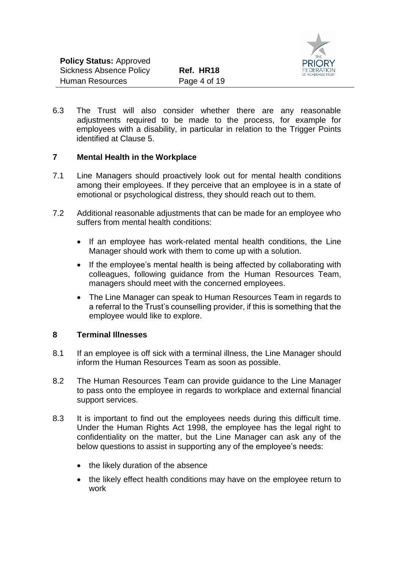

6.3 The Trust will also consider whether there are any reasonable adjustments required to be made to the process, for example for employees with a disability, in particular in relation to the Trigger Points identified at Clause 5.

# **7 Mental Health in the Workplace**

- 7.1 Line Managers should proactively look out for mental health conditions among their employees. If they perceive that an employee is in a state of emotional or psychological distress, they should reach out to them.
- 7.2 Additional reasonable adjustments that can be made for an employee who suffers from mental health conditions:
	- If an employee has work-related mental health conditions, the Line Manager should work with them to come up with a solution.
	- If the employee's mental health is being affected by collaborating with colleagues, following guidance from the Human Resources Team, managers should meet with the concerned employees.
	- The Line Manager can speak to Human Resources Team in regards to a referral to the Trust's counselling provider, if this is something that the employee would like to explore.

#### **8 Terminal Illnesses**

- 8.1 If an employee is off sick with a terminal illness, the Line Manager should inform the Human Resources Team as soon as possible.
- 8.2 The Human Resources Team can provide guidance to the Line Manager to pass onto the employee in regards to workplace and external financial support services.
- 8.3 It is important to find out the employees needs during this difficult time. Under the Human Rights Act 1998, the employee has the legal right to confidentiality on the matter, but the Line Manager can ask any of the below questions to assist in supporting any of the employee's needs:
	- the likely duration of the absence
	- the likely effect health conditions may have on the employee return to work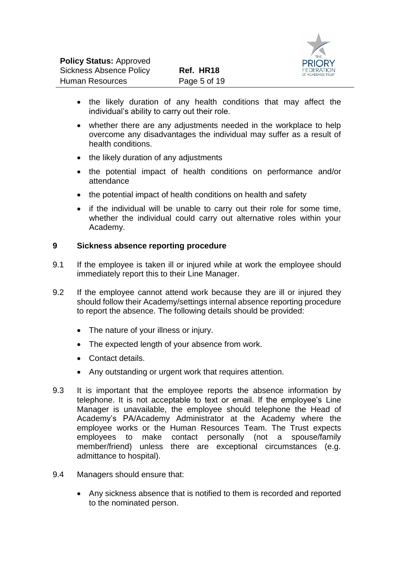

- the likely duration of any health conditions that may affect the individual's ability to carry out their role.
- whether there are any adjustments needed in the workplace to help overcome any disadvantages the individual may suffer as a result of health conditions.
- the likely duration of any adjustments
- the potential impact of health conditions on performance and/or attendance
- the potential impact of health conditions on health and safety
- if the individual will be unable to carry out their role for some time, whether the individual could carry out alternative roles within your Academy.

# **9 Sickness absence reporting procedure**

- 9.1 If the employee is taken ill or injured while at work the employee should immediately report this to their Line Manager.
- 9.2 If the employee cannot attend work because they are ill or injured they should follow their Academy/settings internal absence reporting procedure to report the absence. The following details should be provided:
	- The nature of your illness or injury.
	- The expected length of your absence from work.
	- Contact details.
	- Any outstanding or urgent work that requires attention.
- 9.3 It is important that the employee reports the absence information by telephone. It is not acceptable to text or email. If the employee's Line Manager is unavailable, the employee should telephone the Head of Academy's PA/Academy Administrator at the Academy where the employee works or the Human Resources Team. The Trust expects employees to make contact personally (not a spouse/family member/friend) unless there are exceptional circumstances (e.g. admittance to hospital).
- 9.4 Managers should ensure that:
	- Any sickness absence that is notified to them is recorded and reported to the nominated person.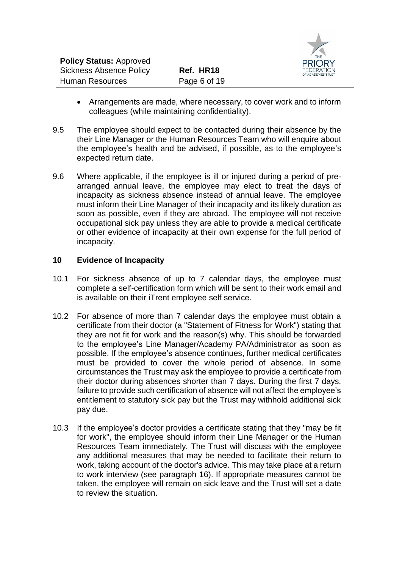

- Arrangements are made, where necessary, to cover work and to inform colleagues (while maintaining confidentiality).
- 9.5 The employee should expect to be contacted during their absence by the their Line Manager or the Human Resources Team who will enquire about the employee's health and be advised, if possible, as to the employee's expected return date.
- 9.6 Where applicable, if the employee is ill or injured during a period of prearranged annual leave, the employee may elect to treat the days of incapacity as sickness absence instead of annual leave. The employee must inform their Line Manager of their incapacity and its likely duration as soon as possible, even if they are abroad. The employee will not receive occupational sick pay unless they are able to provide a medical certificate or other evidence of incapacity at their own expense for the full period of incapacity.

# **10 Evidence of Incapacity**

- 10.1 For sickness absence of up to 7 calendar days, the employee must complete a self-certification form which will be sent to their work email and is available on their iTrent employee self service.
- 10.2 For absence of more than 7 calendar days the employee must obtain a certificate from their doctor (a "Statement of Fitness for Work") stating that they are not fit for work and the reason(s) why. This should be forwarded to the employee's Line Manager/Academy PA/Administrator as soon as possible. If the employee's absence continues, further medical certificates must be provided to cover the whole period of absence. In some circumstances the Trust may ask the employee to provide a certificate from their doctor during absences shorter than 7 days. During the first 7 days, failure to provide such certification of absence will not affect the employee's entitlement to statutory sick pay but the Trust may withhold additional sick pay due.
- 10.3 If the employee's doctor provides a certificate stating that they "may be fit for work", the employee should inform their Line Manager or the Human Resources Team immediately. The Trust will discuss with the employee any additional measures that may be needed to facilitate their return to work, taking account of the doctor's advice. This may take place at a return to work interview (see paragraph 16). If appropriate measures cannot be taken, the employee will remain on sick leave and the Trust will set a date to review the situation.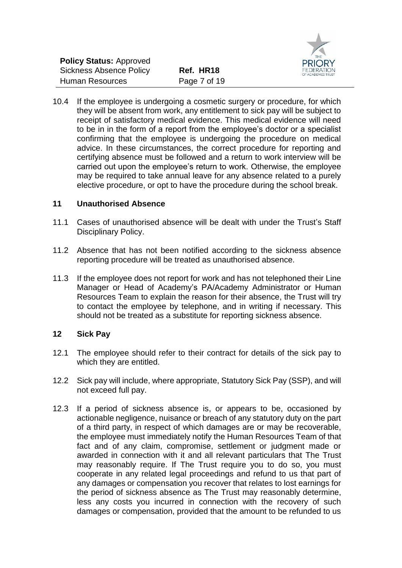

10.4 If the employee is undergoing a cosmetic surgery or procedure, for which they will be absent from work, any entitlement to sick pay will be subject to receipt of satisfactory medical evidence. This medical evidence will need to be in in the form of a report from the employee's doctor or a specialist confirming that the employee is undergoing the procedure on medical advice. In these circumstances, the correct procedure for reporting and certifying absence must be followed and a return to work interview will be carried out upon the employee's return to work. Otherwise, the employee may be required to take annual leave for any absence related to a purely elective procedure, or opt to have the procedure during the school break.

# **11 Unauthorised Absence**

- 11.1 Cases of unauthorised absence will be dealt with under the Trust's Staff Disciplinary Policy.
- 11.2 Absence that has not been notified according to the sickness absence reporting procedure will be treated as unauthorised absence.
- 11.3 If the employee does not report for work and has not telephoned their Line Manager or Head of Academy's PA/Academy Administrator or Human Resources Team to explain the reason for their absence, the Trust will try to contact the employee by telephone, and in writing if necessary. This should not be treated as a substitute for reporting sickness absence.

#### **12 Sick Pay**

- 12.1 The employee should refer to their contract for details of the sick pay to which they are entitled.
- 12.2 Sick pay will include, where appropriate, Statutory Sick Pay (SSP), and will not exceed full pay.
- 12.3 If a period of sickness absence is, or appears to be, occasioned by actionable negligence, nuisance or breach of any statutory duty on the part of a third party, in respect of which damages are or may be recoverable, the employee must immediately notify the Human Resources Team of that fact and of any claim, compromise, settlement or judgment made or awarded in connection with it and all relevant particulars that The Trust may reasonably require. If The Trust require you to do so, you must cooperate in any related legal proceedings and refund to us that part of any damages or compensation you recover that relates to lost earnings for the period of sickness absence as The Trust may reasonably determine, less any costs you incurred in connection with the recovery of such damages or compensation, provided that the amount to be refunded to us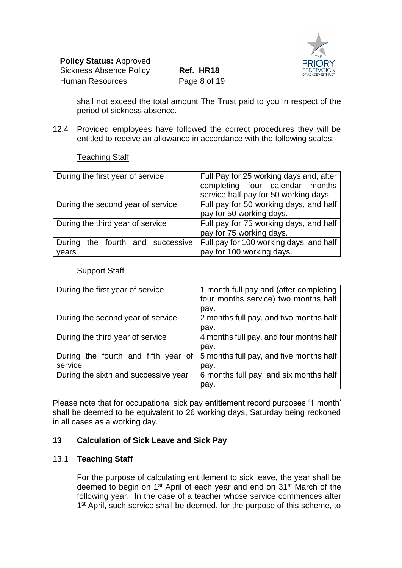



shall not exceed the total amount The Trust paid to you in respect of the period of sickness absence.

12.4 Provided employees have followed the correct procedures they will be entitled to receive an allowance in accordance with the following scales:-

#### Teaching Staff

| During the first year of service             | Full Pay for 25 working days and, after<br>completing four calendar months<br>service half pay for 50 working days. |  |
|----------------------------------------------|---------------------------------------------------------------------------------------------------------------------|--|
| During the second year of service            | Full pay for 50 working days, and half<br>pay for 50 working days.                                                  |  |
| During the third year of service             | Full pay for 75 working days, and half<br>pay for 75 working days.                                                  |  |
| the fourth and successive<br>During<br>years | Full pay for 100 working days, and half<br>pay for 100 working days.                                                |  |

#### Support Staff

| During the first year of service     | 1 month full pay and (after completing  |
|--------------------------------------|-----------------------------------------|
|                                      | four months service) two months half    |
|                                      | pay.                                    |
| During the second year of service    | 2 months full pay, and two months half  |
|                                      | pay.                                    |
| During the third year of service     | 4 months full pay, and four months half |
|                                      | pay.                                    |
| During the fourth and fifth year of  | 5 months full pay, and five months half |
| service                              | pay.                                    |
| During the sixth and successive year | 6 months full pay, and six months half  |
|                                      | pay.                                    |

Please note that for occupational sick pay entitlement record purposes '1 month' shall be deemed to be equivalent to 26 working days, Saturday being reckoned in all cases as a working day.

#### **13 Calculation of Sick Leave and Sick Pay**

#### 13.1 **Teaching Staff**

For the purpose of calculating entitlement to sick leave, the year shall be deemed to begin on 1st April of each year and end on 31st March of the following year. In the case of a teacher whose service commences after 1<sup>st</sup> April, such service shall be deemed, for the purpose of this scheme, to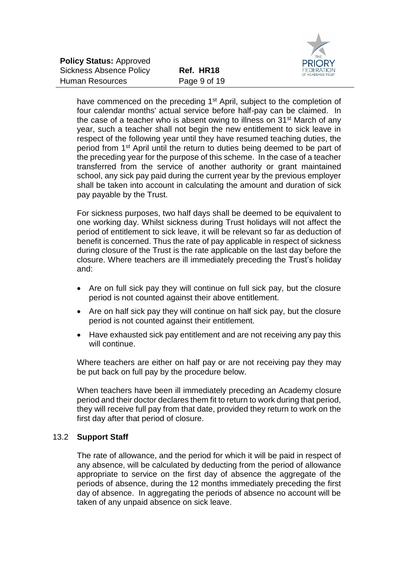

have commenced on the preceding 1<sup>st</sup> April, subject to the completion of four calendar months' actual service before half-pay can be claimed. In the case of a teacher who is absent owing to illness on 31<sup>st</sup> March of any year, such a teacher shall not begin the new entitlement to sick leave in respect of the following year until they have resumed teaching duties, the period from 1st April until the return to duties being deemed to be part of the preceding year for the purpose of this scheme. In the case of a teacher transferred from the service of another authority or grant maintained school, any sick pay paid during the current year by the previous employer shall be taken into account in calculating the amount and duration of sick pay payable by the Trust.

For sickness purposes, two half days shall be deemed to be equivalent to one working day. Whilst sickness during Trust holidays will not affect the period of entitlement to sick leave, it will be relevant so far as deduction of benefit is concerned. Thus the rate of pay applicable in respect of sickness during closure of the Trust is the rate applicable on the last day before the closure. Where teachers are ill immediately preceding the Trust's holiday and:

- Are on full sick pay they will continue on full sick pay, but the closure period is not counted against their above entitlement.
- Are on half sick pay they will continue on half sick pay, but the closure period is not counted against their entitlement.
- Have exhausted sick pay entitlement and are not receiving any pay this will continue.

Where teachers are either on half pay or are not receiving pay they may be put back on full pay by the procedure below.

When teachers have been ill immediately preceding an Academy closure period and their doctor declares them fit to return to work during that period, they will receive full pay from that date, provided they return to work on the first day after that period of closure.

#### 13.2 **Support Staff**

The rate of allowance, and the period for which it will be paid in respect of any absence, will be calculated by deducting from the period of allowance appropriate to service on the first day of absence the aggregate of the periods of absence, during the 12 months immediately preceding the first day of absence. In aggregating the periods of absence no account will be taken of any unpaid absence on sick leave.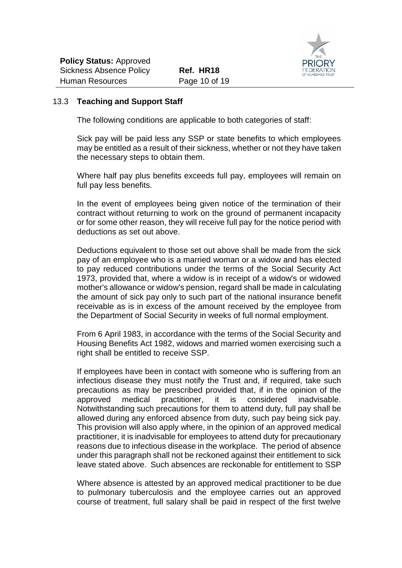

#### 13.3 **Teaching and Support Staff**

The following conditions are applicable to both categories of staff:

Sick pay will be paid less any SSP or state benefits to which employees may be entitled as a result of their sickness, whether or not they have taken the necessary steps to obtain them.

Where half pay plus benefits exceeds full pay, employees will remain on full pay less benefits.

In the event of employees being given notice of the termination of their contract without returning to work on the ground of permanent incapacity or for some other reason, they will receive full pay for the notice period with deductions as set out above.

Deductions equivalent to those set out above shall be made from the sick pay of an employee who is a married woman or a widow and has elected to pay reduced contributions under the terms of the Social Security Act 1973, provided that, where a widow is in receipt of a widow's or widowed mother's allowance or widow's pension, regard shall be made in calculating the amount of sick pay only to such part of the national insurance benefit receivable as is in excess of the amount received by the employee from the Department of Social Security in weeks of full normal employment.

From 6 April 1983, in accordance with the terms of the Social Security and Housing Benefits Act 1982, widows and married women exercising such a right shall be entitled to receive SSP.

If employees have been in contact with someone who is suffering from an infectious disease they must notify the Trust and, if required, take such precautions as may be prescribed provided that, if in the opinion of the approved medical practitioner, it is considered inadvisable. Notwithstanding such precautions for them to attend duty, full pay shall be allowed during any enforced absence from duty, such pay being sick pay. This provision will also apply where, in the opinion of an approved medical practitioner, it is inadvisable for employees to attend duty for precautionary reasons due to infectious disease in the workplace. The period of absence under this paragraph shall not be reckoned against their entitlement to sick leave stated above. Such absences are reckonable for entitlement to SSP

Where absence is attested by an approved medical practitioner to be due to pulmonary tuberculosis and the employee carries out an approved course of treatment, full salary shall be paid in respect of the first twelve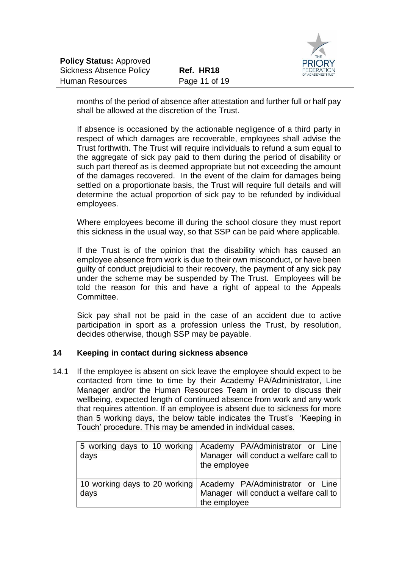

months of the period of absence after attestation and further full or half pay shall be allowed at the discretion of the Trust.

If absence is occasioned by the actionable negligence of a third party in respect of which damages are recoverable, employees shall advise the Trust forthwith. The Trust will require individuals to refund a sum equal to the aggregate of sick pay paid to them during the period of disability or such part thereof as is deemed appropriate but not exceeding the amount of the damages recovered. In the event of the claim for damages being settled on a proportionate basis, the Trust will require full details and will determine the actual proportion of sick pay to be refunded by individual employees.

Where employees become ill during the school closure they must report this sickness in the usual way, so that SSP can be paid where applicable.

If the Trust is of the opinion that the disability which has caused an employee absence from work is due to their own misconduct, or have been guilty of conduct prejudicial to their recovery, the payment of any sick pay under the scheme may be suspended by The Trust. Employees will be told the reason for this and have a right of appeal to the Appeals Committee.

Sick pay shall not be paid in the case of an accident due to active participation in sport as a profession unless the Trust, by resolution, decides otherwise, though SSP may be payable.

#### **14 Keeping in contact during sickness absence**

14.1 If the employee is absent on sick leave the employee should expect to be contacted from time to time by their Academy PA/Administrator, Line Manager and/or the Human Resources Team in order to discuss their wellbeing, expected length of continued absence from work and any work that requires attention. If an employee is absent due to sickness for more than 5 working days, the below table indicates the Trust's 'Keeping in Touch' procedure. This may be amended in individual cases.

| days | 5 working days to 10 working Academy PA/Administrator or Line<br>Manager will conduct a welfare call to<br>the employee    |
|------|----------------------------------------------------------------------------------------------------------------------------|
| days | 10 working days to 20 working   Academy PA/Administrator or Line<br>Manager will conduct a welfare call to<br>the employee |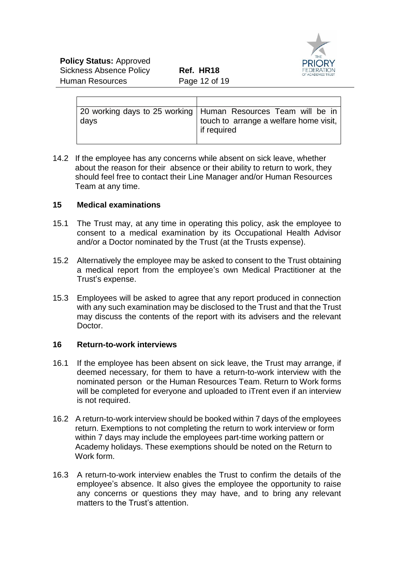| days | 20 working days to 25 working   Human Resources Team will be in<br>touch to arrange a welfare home visit, $ $<br>l if required |
|------|--------------------------------------------------------------------------------------------------------------------------------|

14.2 If the employee has any concerns while absent on sick leave, whether about the reason for their absence or their ability to return to work, they should feel free to contact their Line Manager and/or Human Resources Team at any time.

# **15 Medical examinations**

- 15.1 The Trust may, at any time in operating this policy, ask the employee to consent to a medical examination by its Occupational Health Advisor and/or a Doctor nominated by the Trust (at the Trusts expense).
- 15.2 Alternatively the employee may be asked to consent to the Trust obtaining a medical report from the employee's own Medical Practitioner at the Trust's expense.
- 15.3 Employees will be asked to agree that any report produced in connection with any such examination may be disclosed to the Trust and that the Trust may discuss the contents of the report with its advisers and the relevant Doctor.

#### **16 Return-to-work interviews**

- 16.1 If the employee has been absent on sick leave, the Trust may arrange, if deemed necessary, for them to have a return-to-work interview with the nominated person or the Human Resources Team. Return to Work forms will be completed for everyone and uploaded to iTrent even if an interview is not required.
- 16.2 A return-to-work interview should be booked within 7 days of the employees return. Exemptions to not completing the return to work interview or form within 7 days may include the employees part-time working pattern or Academy holidays. These exemptions should be noted on the Return to Work form.
- 16.3 A return-to-work interview enables the Trust to confirm the details of the employee's absence. It also gives the employee the opportunity to raise any concerns or questions they may have, and to bring any relevant matters to the Trust's attention.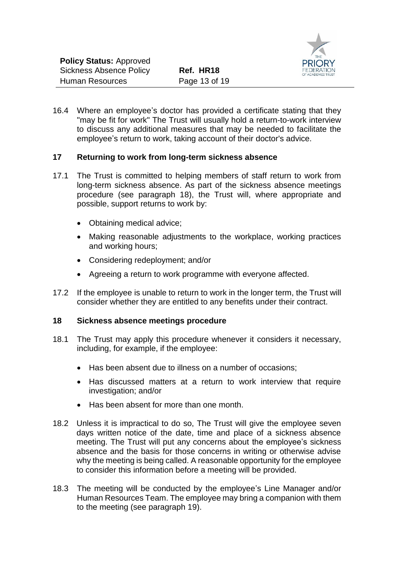

16.4 Where an employee's doctor has provided a certificate stating that they "may be fit for work" The Trust will usually hold a return-to-work interview to discuss any additional measures that may be needed to facilitate the employee's return to work, taking account of their doctor's advice.

#### **17 Returning to work from long-term sickness absence**

- 17.1 The Trust is committed to helping members of staff return to work from long-term sickness absence. As part of the sickness absence meetings procedure (see paragraph 18), the Trust will, where appropriate and possible, support returns to work by:
	- Obtaining medical advice:
	- Making reasonable adjustments to the workplace, working practices and working hours;
	- Considering redeployment; and/or
	- Agreeing a return to work programme with everyone affected.
- 17.2 If the employee is unable to return to work in the longer term, the Trust will consider whether they are entitled to any benefits under their contract.

#### **18 Sickness absence meetings procedure**

- 18.1 The Trust may apply this procedure whenever it considers it necessary, including, for example, if the employee:
	- Has been absent due to illness on a number of occasions;
	- Has discussed matters at a return to work interview that require investigation; and/or
	- Has been absent for more than one month.
- 18.2 Unless it is impractical to do so, The Trust will give the employee seven days written notice of the date, time and place of a sickness absence meeting. The Trust will put any concerns about the employee's sickness absence and the basis for those concerns in writing or otherwise advise why the meeting is being called. A reasonable opportunity for the employee to consider this information before a meeting will be provided.
- 18.3 The meeting will be conducted by the employee's Line Manager and/or Human Resources Team. The employee may bring a companion with them to the meeting (see paragraph 19).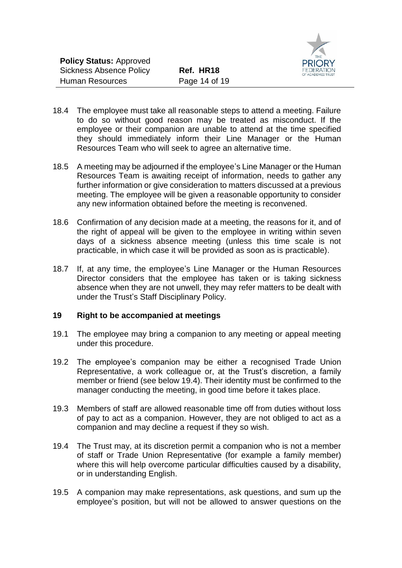

- 18.4 The employee must take all reasonable steps to attend a meeting. Failure to do so without good reason may be treated as misconduct. If the employee or their companion are unable to attend at the time specified they should immediately inform their Line Manager or the Human Resources Team who will seek to agree an alternative time.
- 18.5 A meeting may be adjourned if the employee's Line Manager or the Human Resources Team is awaiting receipt of information, needs to gather any further information or give consideration to matters discussed at a previous meeting. The employee will be given a reasonable opportunity to consider any new information obtained before the meeting is reconvened.
- 18.6 Confirmation of any decision made at a meeting, the reasons for it, and of the right of appeal will be given to the employee in writing within seven days of a sickness absence meeting (unless this time scale is not practicable, in which case it will be provided as soon as is practicable).
- 18.7 If, at any time, the employee's Line Manager or the Human Resources Director considers that the employee has taken or is taking sickness absence when they are not unwell, they may refer matters to be dealt with under the Trust's Staff Disciplinary Policy.

#### **19 Right to be accompanied at meetings**

- 19.1 The employee may bring a companion to any meeting or appeal meeting under this procedure.
- 19.2 The employee's companion may be either a recognised Trade Union Representative, a work colleague or, at the Trust's discretion, a family member or friend (see below 19.4). Their identity must be confirmed to the manager conducting the meeting, in good time before it takes place.
- 19.3 Members of staff are allowed reasonable time off from duties without loss of pay to act as a companion. However, they are not obliged to act as a companion and may decline a request if they so wish.
- 19.4 The Trust may, at its discretion permit a companion who is not a member of staff or Trade Union Representative (for example a family member) where this will help overcome particular difficulties caused by a disability, or in understanding English.
- 19.5 A companion may make representations, ask questions, and sum up the employee's position, but will not be allowed to answer questions on the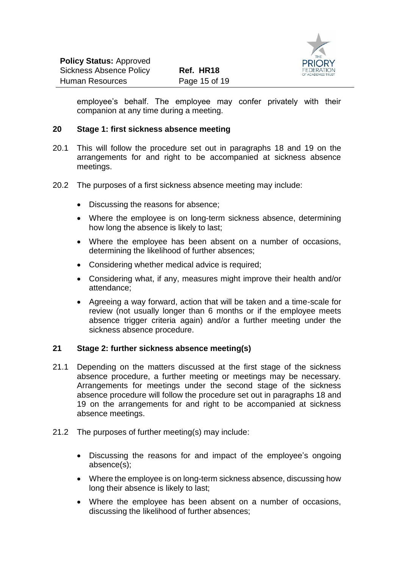

employee's behalf. The employee may confer privately with their companion at any time during a meeting.

#### **20 Stage 1: first sickness absence meeting**

- 20.1 This will follow the procedure set out in paragraphs 18 and 19 on the arrangements for and right to be accompanied at sickness absence meetings.
- 20.2 The purposes of a first sickness absence meeting may include:
	- Discussing the reasons for absence;
	- Where the employee is on long-term sickness absence, determining how long the absence is likely to last;
	- Where the employee has been absent on a number of occasions, determining the likelihood of further absences;
	- Considering whether medical advice is required;
	- Considering what, if any, measures might improve their health and/or attendance;
	- Agreeing a way forward, action that will be taken and a time-scale for review (not usually longer than 6 months or if the employee meets absence trigger criteria again) and/or a further meeting under the sickness absence procedure.

#### **21 Stage 2: further sickness absence meeting(s)**

- 21.1 Depending on the matters discussed at the first stage of the sickness absence procedure, a further meeting or meetings may be necessary. Arrangements for meetings under the second stage of the sickness absence procedure will follow the procedure set out in paragraphs 18 and 19 on the arrangements for and right to be accompanied at sickness absence meetings.
- 21.2 The purposes of further meeting(s) may include:
	- Discussing the reasons for and impact of the employee's ongoing absence(s);
	- Where the employee is on long-term sickness absence, discussing how long their absence is likely to last;
	- Where the employee has been absent on a number of occasions, discussing the likelihood of further absences;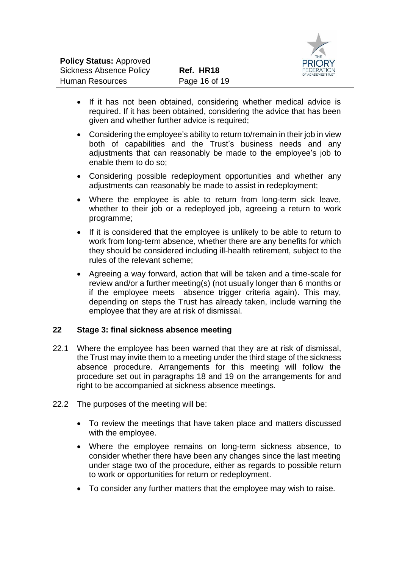

- If it has not been obtained, considering whether medical advice is required. If it has been obtained, considering the advice that has been given and whether further advice is required;
- Considering the employee's ability to return to/remain in their job in view both of capabilities and the Trust's business needs and any adjustments that can reasonably be made to the employee's job to enable them to do so;
- Considering possible redeployment opportunities and whether any adjustments can reasonably be made to assist in redeployment;
- Where the employee is able to return from long-term sick leave, whether to their job or a redeployed job, agreeing a return to work programme;
- If it is considered that the employee is unlikely to be able to return to work from long-term absence, whether there are any benefits for which they should be considered including ill-health retirement, subject to the rules of the relevant scheme;
- Agreeing a way forward, action that will be taken and a time-scale for review and/or a further meeting(s) (not usually longer than 6 months or if the employee meets absence trigger criteria again). This may, depending on steps the Trust has already taken, include warning the employee that they are at risk of dismissal.

#### **22 Stage 3: final sickness absence meeting**

- 22.1 Where the employee has been warned that they are at risk of dismissal, the Trust may invite them to a meeting under the third stage of the sickness absence procedure. Arrangements for this meeting will follow the procedure set out in paragraphs 18 and 19 on the arrangements for and right to be accompanied at sickness absence meetings.
- 22.2 The purposes of the meeting will be:
	- To review the meetings that have taken place and matters discussed with the employee.
	- Where the employee remains on long-term sickness absence, to consider whether there have been any changes since the last meeting under stage two of the procedure, either as regards to possible return to work or opportunities for return or redeployment.
	- To consider any further matters that the employee may wish to raise.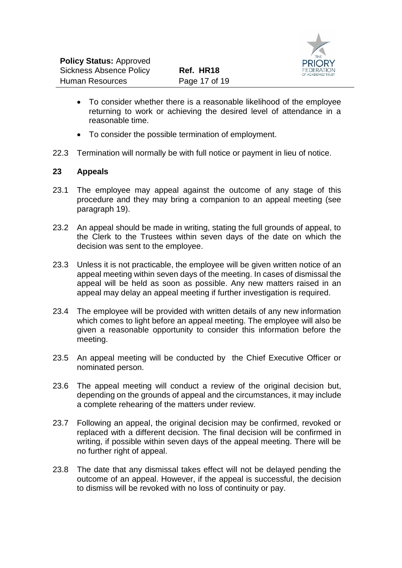

- To consider whether there is a reasonable likelihood of the employee returning to work or achieving the desired level of attendance in a reasonable time.
- To consider the possible termination of employment.
- 22.3 Termination will normally be with full notice or payment in lieu of notice.

#### **23 Appeals**

- 23.1 The employee may appeal against the outcome of any stage of this procedure and they may bring a companion to an appeal meeting (see paragraph 19).
- 23.2 An appeal should be made in writing, stating the full grounds of appeal, to the Clerk to the Trustees within seven days of the date on which the decision was sent to the employee.
- 23.3 Unless it is not practicable, the employee will be given written notice of an appeal meeting within seven days of the meeting. In cases of dismissal the appeal will be held as soon as possible. Any new matters raised in an appeal may delay an appeal meeting if further investigation is required.
- 23.4 The employee will be provided with written details of any new information which comes to light before an appeal meeting. The employee will also be given a reasonable opportunity to consider this information before the meeting.
- 23.5 An appeal meeting will be conducted by the Chief Executive Officer or nominated person.
- 23.6 The appeal meeting will conduct a review of the original decision but, depending on the grounds of appeal and the circumstances, it may include a complete rehearing of the matters under review.
- 23.7 Following an appeal, the original decision may be confirmed, revoked or replaced with a different decision. The final decision will be confirmed in writing, if possible within seven days of the appeal meeting. There will be no further right of appeal.
- 23.8 The date that any dismissal takes effect will not be delayed pending the outcome of an appeal. However, if the appeal is successful, the decision to dismiss will be revoked with no loss of continuity or pay.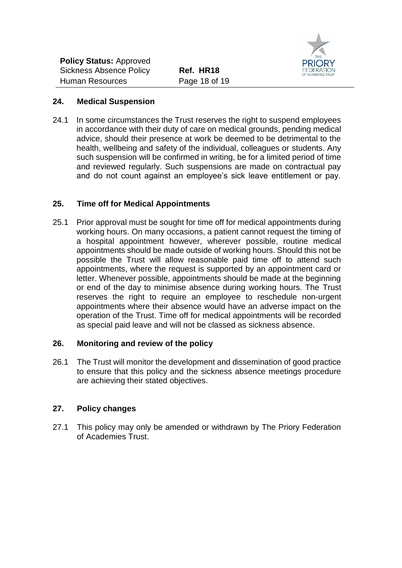

#### **24. Medical Suspension**

24.1 In some circumstances the Trust reserves the right to suspend employees in accordance with their duty of care on medical grounds, pending medical advice, should their presence at work be deemed to be detrimental to the health, wellbeing and safety of the individual, colleagues or students. Any such suspension will be confirmed in writing, be for a limited period of time and reviewed regularly. Such suspensions are made on contractual pay and do not count against an employee's sick leave entitlement or pay.

# **25. Time off for Medical Appointments**

25.1 Prior approval must be sought for time off for medical appointments during working hours. On many occasions, a patient cannot request the timing of a hospital appointment however, wherever possible, routine medical appointments should be made outside of working hours. Should this not be possible the Trust will allow reasonable paid time off to attend such appointments, where the request is supported by an appointment card or letter. Whenever possible, appointments should be made at the beginning or end of the day to minimise absence during working hours. The Trust reserves the right to require an employee to reschedule non-urgent appointments where their absence would have an adverse impact on the operation of the Trust. Time off for medical appointments will be recorded as special paid leave and will not be classed as sickness absence.

# **26. Monitoring and review of the policy**

26.1 The Trust will monitor the development and dissemination of good practice to ensure that this policy and the sickness absence meetings procedure are achieving their stated objectives.

# **27. Policy changes**

27.1 This policy may only be amended or withdrawn by The Priory Federation of Academies Trust.